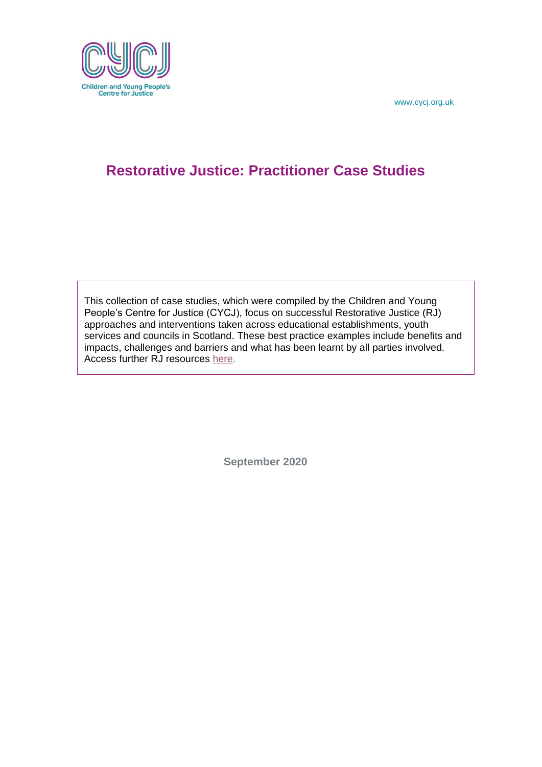

## **Restorative Justice: Practitioner Case Studies**

This collection of case studies, which were compiled by the Children and Young People's Centre for Justice (CYCJ), focus on successful Restorative Justice (RJ) approaches and interventions taken across educational establishments, youth services and councils in Scotland. These best practice examples include benefits and impacts, challenges and barriers and what has been learnt by all parties involved. Access further RJ resources [here.](https://www.cycj.org.uk/?post_type=resource&p=5623&preview=true)

**September 2020**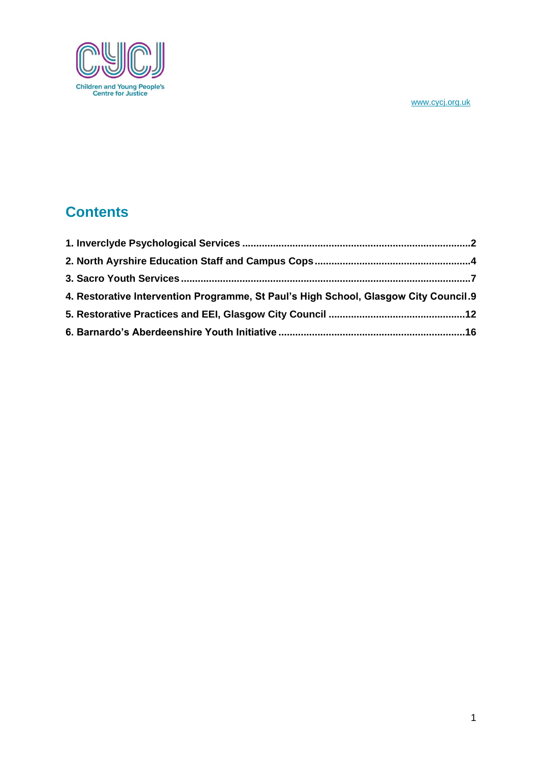

# **Contents**

| 4. Restorative Intervention Programme, St Paul's High School, Glasgow City Council.9 |  |
|--------------------------------------------------------------------------------------|--|
|                                                                                      |  |
|                                                                                      |  |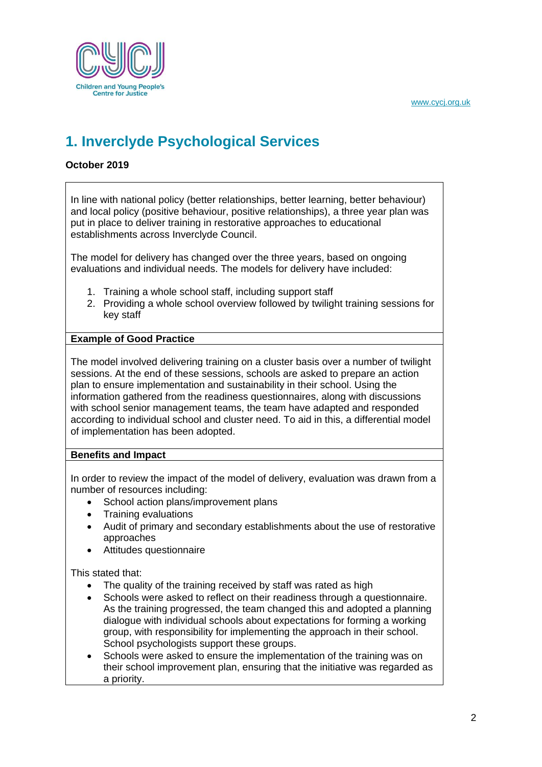

# <span id="page-2-0"></span>**1. Inverclyde Psychological Services**

## **October 2019**

In line with national policy (better relationships, better learning, better behaviour) and local policy (positive behaviour, positive relationships), a three year plan was put in place to deliver training in restorative approaches to educational establishments across Inverclyde Council.

The model for delivery has changed over the three years, based on ongoing evaluations and individual needs. The models for delivery have included:

- 1. Training a whole school staff, including support staff
- 2. Providing a whole school overview followed by twilight training sessions for key staff

## **Example of Good Practice**

The model involved delivering training on a cluster basis over a number of twilight sessions. At the end of these sessions, schools are asked to prepare an action plan to ensure implementation and sustainability in their school. Using the information gathered from the readiness questionnaires, along with discussions with school senior management teams, the team have adapted and responded according to individual school and cluster need. To aid in this, a differential model of implementation has been adopted.

### **Benefits and Impact**

In order to review the impact of the model of delivery, evaluation was drawn from a number of resources including:

- School action plans/improvement plans
- Training evaluations
- Audit of primary and secondary establishments about the use of restorative approaches
- Attitudes questionnaire

This stated that:

- The quality of the training received by staff was rated as high
- Schools were asked to reflect on their readiness through a questionnaire. As the training progressed, the team changed this and adopted a planning dialogue with individual schools about expectations for forming a working group, with responsibility for implementing the approach in their school. School psychologists support these groups.
- Schools were asked to ensure the implementation of the training was on their school improvement plan, ensuring that the initiative was regarded as a priority.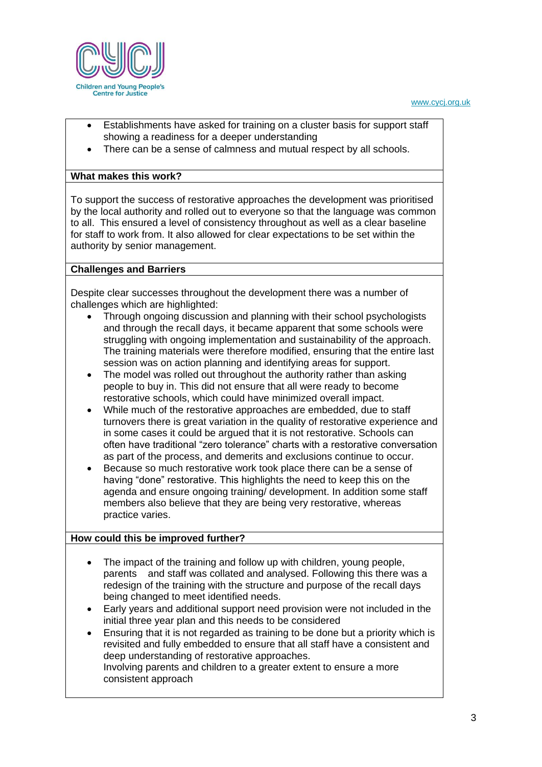

- Establishments have asked for training on a cluster basis for support staff showing a readiness for a deeper understanding
- There can be a sense of calmness and mutual respect by all schools.

## **What makes this work?**

To support the success of restorative approaches the development was prioritised by the local authority and rolled out to everyone so that the language was common to all. This ensured a level of consistency throughout as well as a clear baseline for staff to work from. It also allowed for clear expectations to be set within the authority by senior management.

### **Challenges and Barriers**

Despite clear successes throughout the development there was a number of challenges which are highlighted:

- Through ongoing discussion and planning with their school psychologists and through the recall days, it became apparent that some schools were struggling with ongoing implementation and sustainability of the approach. The training materials were therefore modified, ensuring that the entire last session was on action planning and identifying areas for support.
- The model was rolled out throughout the authority rather than asking people to buy in. This did not ensure that all were ready to become restorative schools, which could have minimized overall impact.
- While much of the restorative approaches are embedded, due to staff turnovers there is great variation in the quality of restorative experience and in some cases it could be argued that it is not restorative. Schools can often have traditional "zero tolerance" charts with a restorative conversation as part of the process, and demerits and exclusions continue to occur.
- Because so much restorative work took place there can be a sense of having "done" restorative. This highlights the need to keep this on the agenda and ensure ongoing training/ development. In addition some staff members also believe that they are being very restorative, whereas practice varies.

#### **How could this be improved further?**

- The impact of the training and follow up with children, young people, parents and staff was collated and analysed. Following this there was a redesign of the training with the structure and purpose of the recall days being changed to meet identified needs.
- Early years and additional support need provision were not included in the initial three year plan and this needs to be considered
- Ensuring that it is not regarded as training to be done but a priority which is revisited and fully embedded to ensure that all staff have a consistent and deep understanding of restorative approaches. Involving parents and children to a greater extent to ensure a more consistent approach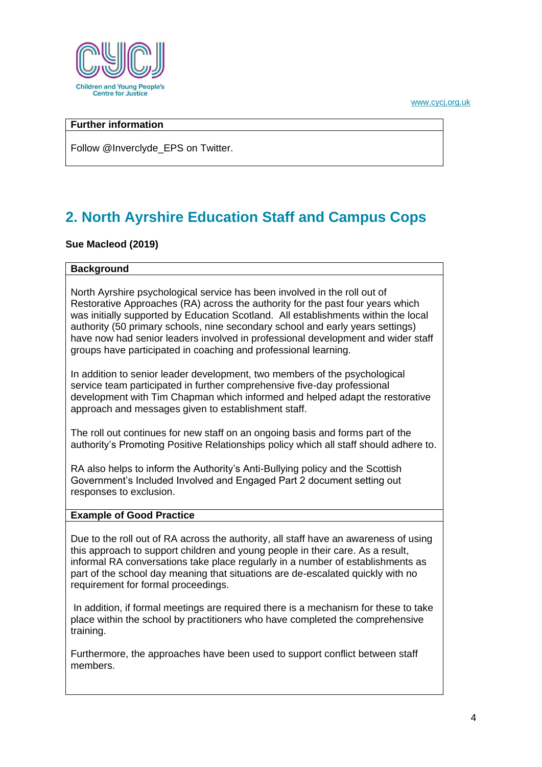

## **Further information**

Follow @Inverclyde\_EPS on Twitter.

# <span id="page-4-0"></span>**2. North Ayrshire Education Staff and Campus Cops**

### **Sue Macleod (2019)**

#### **Background**

North Ayrshire psychological service has been involved in the roll out of Restorative Approaches (RA) across the authority for the past four years which was initially supported by Education Scotland. All establishments within the local authority (50 primary schools, nine secondary school and early years settings) have now had senior leaders involved in professional development and wider staff groups have participated in coaching and professional learning.

In addition to senior leader development, two members of the psychological service team participated in further comprehensive five-day professional development with Tim Chapman which informed and helped adapt the restorative approach and messages given to establishment staff.

The roll out continues for new staff on an ongoing basis and forms part of the authority's Promoting Positive Relationships policy which all staff should adhere to.

RA also helps to inform the Authority's Anti-Bullying policy and the Scottish Government's Included Involved and Engaged Part 2 document setting out responses to exclusion.

#### **Example of Good Practice**

Due to the roll out of RA across the authority, all staff have an awareness of using this approach to support children and young people in their care. As a result, informal RA conversations take place regularly in a number of establishments as part of the school day meaning that situations are de-escalated quickly with no requirement for formal proceedings.

In addition, if formal meetings are required there is a mechanism for these to take place within the school by practitioners who have completed the comprehensive training.

Furthermore, the approaches have been used to support conflict between staff members.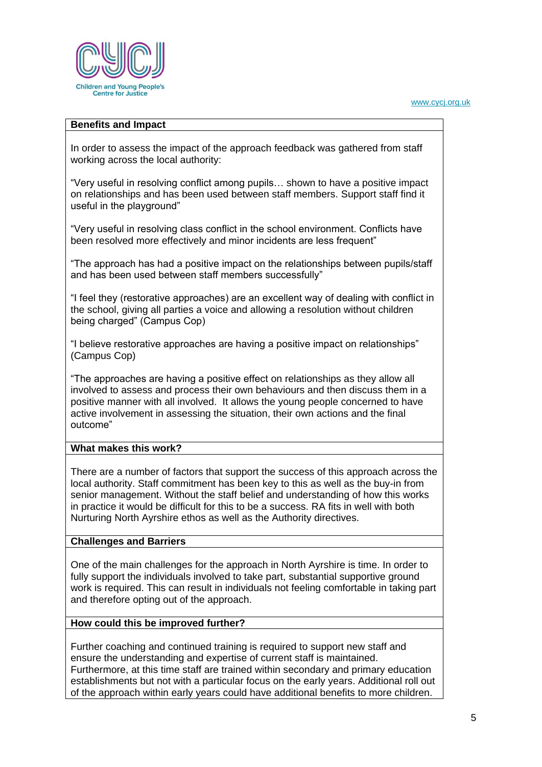

#### **Benefits and Impact**

In order to assess the impact of the approach feedback was gathered from staff working across the local authority:

"Very useful in resolving conflict among pupils… shown to have a positive impact on relationships and has been used between staff members. Support staff find it useful in the playground"

"Very useful in resolving class conflict in the school environment. Conflicts have been resolved more effectively and minor incidents are less frequent"

"The approach has had a positive impact on the relationships between pupils/staff and has been used between staff members successfully"

"I feel they (restorative approaches) are an excellent way of dealing with conflict in the school, giving all parties a voice and allowing a resolution without children being charged" (Campus Cop)

"I believe restorative approaches are having a positive impact on relationships" (Campus Cop)

"The approaches are having a positive effect on relationships as they allow all involved to assess and process their own behaviours and then discuss them in a positive manner with all involved. It allows the young people concerned to have active involvement in assessing the situation, their own actions and the final outcome"

## **What makes this work?**

There are a number of factors that support the success of this approach across the local authority. Staff commitment has been key to this as well as the buy-in from senior management. Without the staff belief and understanding of how this works in practice it would be difficult for this to be a success. RA fits in well with both Nurturing North Ayrshire ethos as well as the Authority directives.

#### **Challenges and Barriers**

One of the main challenges for the approach in North Ayrshire is time. In order to fully support the individuals involved to take part, substantial supportive ground work is required. This can result in individuals not feeling comfortable in taking part and therefore opting out of the approach.

## **How could this be improved further?**

Further coaching and continued training is required to support new staff and ensure the understanding and expertise of current staff is maintained. Furthermore, at this time staff are trained within secondary and primary education establishments but not with a particular focus on the early years. Additional roll out of the approach within early years could have additional benefits to more children.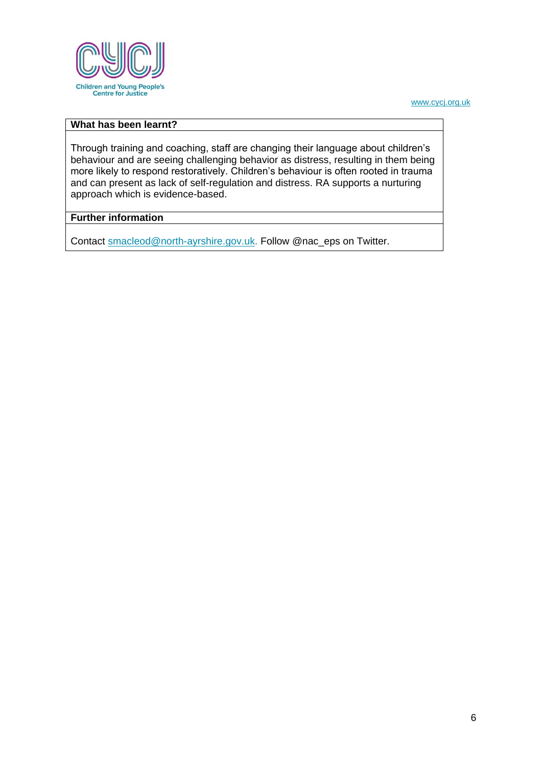

## **What has been learnt?**

Through training and coaching, staff are changing their language about children's behaviour and are seeing challenging behavior as distress, resulting in them being more likely to respond restoratively. Children's behaviour is often rooted in trauma and can present as lack of self-regulation and distress. RA supports a nurturing approach which is evidence-based.

### **Further information**

Contact [smacleod@north-ayrshire.gov.uk.](mailto:smacleod@north-ayrshire.gov.uk) Follow @nac\_eps on Twitter.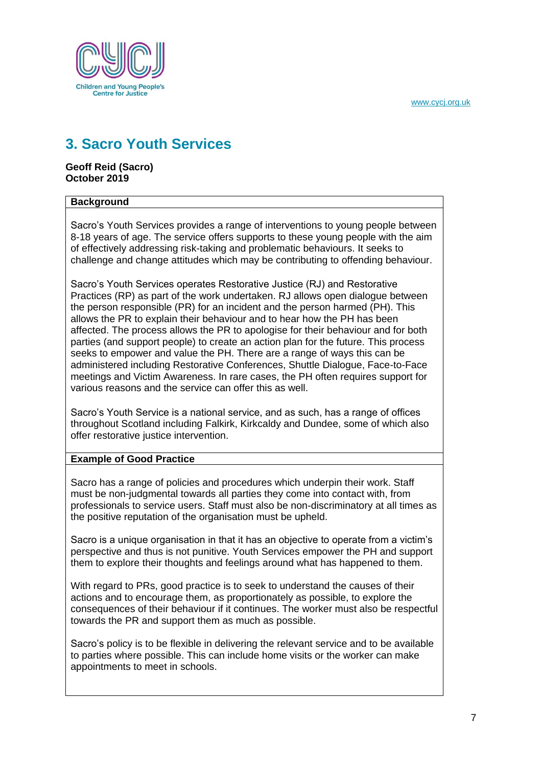

## <span id="page-7-0"></span>**3. Sacro Youth Services**

**Geoff Reid (Sacro) October 2019**

### **Background**

Sacro's Youth Services provides a range of interventions to young people between 8-18 years of age. The service offers supports to these young people with the aim of effectively addressing risk-taking and problematic behaviours. It seeks to challenge and change attitudes which may be contributing to offending behaviour.

Sacro's Youth Services operates Restorative Justice (RJ) and Restorative Practices (RP) as part of the work undertaken. RJ allows open dialogue between the person responsible (PR) for an incident and the person harmed (PH). This allows the PR to explain their behaviour and to hear how the PH has been affected. The process allows the PR to apologise for their behaviour and for both parties (and support people) to create an action plan for the future. This process seeks to empower and value the PH. There are a range of ways this can be administered including Restorative Conferences, Shuttle Dialogue, Face-to-Face meetings and Victim Awareness. In rare cases, the PH often requires support for various reasons and the service can offer this as well.

Sacro's Youth Service is a national service, and as such, has a range of offices throughout Scotland including Falkirk, Kirkcaldy and Dundee, some of which also offer restorative justice intervention.

### **Example of Good Practice**

Sacro has a range of policies and procedures which underpin their work. Staff must be non-judgmental towards all parties they come into contact with, from professionals to service users. Staff must also be non-discriminatory at all times as the positive reputation of the organisation must be upheld.

Sacro is a unique organisation in that it has an objective to operate from a victim's perspective and thus is not punitive. Youth Services empower the PH and support them to explore their thoughts and feelings around what has happened to them.

With regard to PRs, good practice is to seek to understand the causes of their actions and to encourage them, as proportionately as possible, to explore the consequences of their behaviour if it continues. The worker must also be respectful towards the PR and support them as much as possible.

Sacro's policy is to be flexible in delivering the relevant service and to be available to parties where possible. This can include home visits or the worker can make appointments to meet in schools.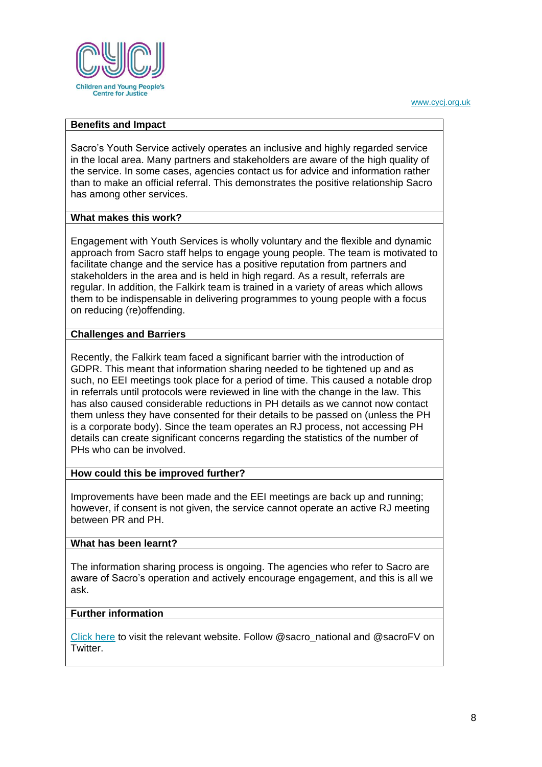

#### **Benefits and Impact**

Sacro's Youth Service actively operates an inclusive and highly regarded service in the local area. Many partners and stakeholders are aware of the high quality of the service. In some cases, agencies contact us for advice and information rather than to make an official referral. This demonstrates the positive relationship Sacro has among other services.

#### **What makes this work?**

Engagement with Youth Services is wholly voluntary and the flexible and dynamic approach from Sacro staff helps to engage young people. The team is motivated to facilitate change and the service has a positive reputation from partners and stakeholders in the area and is held in high regard. As a result, referrals are regular. In addition, the Falkirk team is trained in a variety of areas which allows them to be indispensable in delivering programmes to young people with a focus on reducing (re)offending.

#### **Challenges and Barriers**

Recently, the Falkirk team faced a significant barrier with the introduction of GDPR. This meant that information sharing needed to be tightened up and as such, no EEI meetings took place for a period of time. This caused a notable drop in referrals until protocols were reviewed in line with the change in the law. This has also caused considerable reductions in PH details as we cannot now contact them unless they have consented for their details to be passed on (unless the PH is a corporate body). Since the team operates an RJ process, not accessing PH details can create significant concerns regarding the statistics of the number of PHs who can be involved.

### **How could this be improved further?**

Improvements have been made and the EEI meetings are back up and running; however, if consent is not given, the service cannot operate an active RJ meeting between PR and PH.

#### **What has been learnt?**

The information sharing process is ongoing. The agencies who refer to Sacro are aware of Sacro's operation and actively encourage engagement, and this is all we ask.

#### **Further information**

[Click here](http://www.sacro.org.uk/services/youth-justice/youth-restorative-justice-services) to visit the relevant website. Follow @sacro\_national and @sacroFV on Twitter.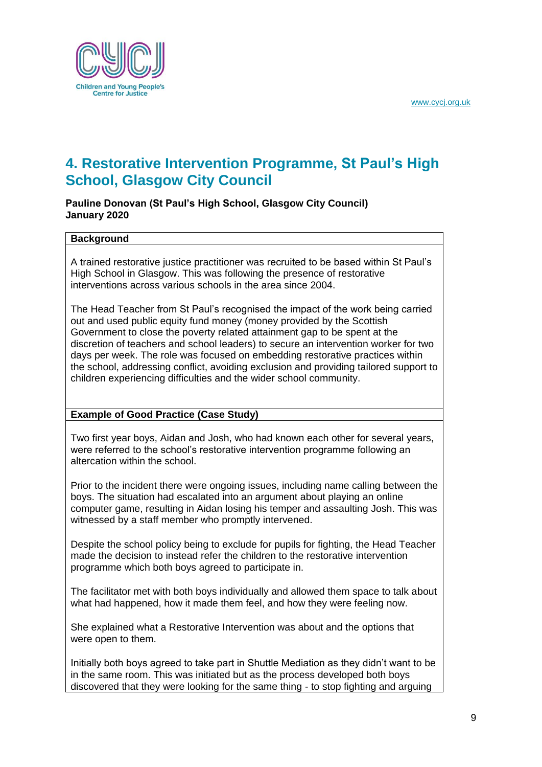

## <span id="page-9-0"></span>**4. Restorative Intervention Programme, St Paul's High School, Glasgow City Council**

**Pauline Donovan (St Paul's High School, Glasgow City Council) January 2020**

#### **Background**

A trained restorative justice practitioner was recruited to be based within St Paul's High School in Glasgow. This was following the presence of restorative interventions across various schools in the area since 2004.

The Head Teacher from St Paul's recognised the impact of the work being carried out and used public equity fund money (money provided by the Scottish Government to close the poverty related attainment gap to be spent at the discretion of teachers and school leaders) to secure an intervention worker for two days per week. The role was focused on embedding restorative practices within the school, addressing conflict, avoiding exclusion and providing tailored support to children experiencing difficulties and the wider school community.

## **Example of Good Practice (Case Study)**

Two first year boys, Aidan and Josh, who had known each other for several years, were referred to the school's restorative intervention programme following an altercation within the school.

Prior to the incident there were ongoing issues, including name calling between the boys. The situation had escalated into an argument about playing an online computer game, resulting in Aidan losing his temper and assaulting Josh. This was witnessed by a staff member who promptly intervened.

Despite the school policy being to exclude for pupils for fighting, the Head Teacher made the decision to instead refer the children to the restorative intervention programme which both boys agreed to participate in.

The facilitator met with both boys individually and allowed them space to talk about what had happened, how it made them feel, and how they were feeling now.

She explained what a Restorative Intervention was about and the options that were open to them.

Initially both boys agreed to take part in Shuttle Mediation as they didn't want to be in the same room. This was initiated but as the process developed both boys discovered that they were looking for the same thing - to stop fighting and arguing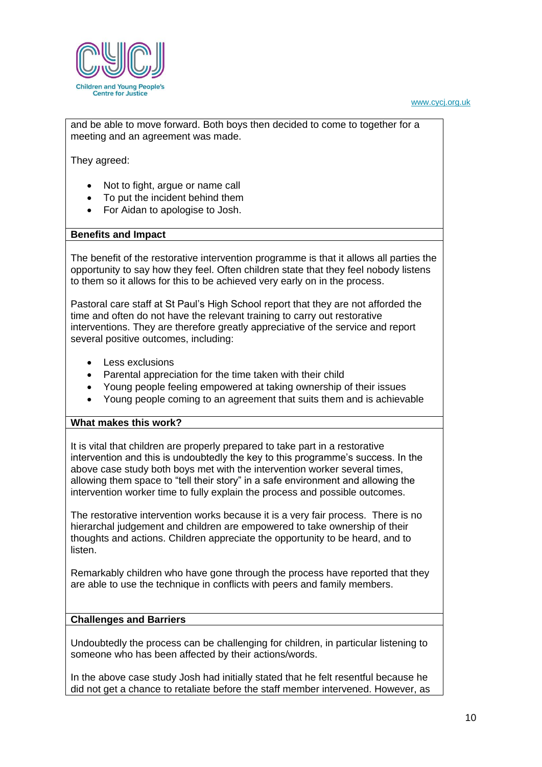

and be able to move forward. Both boys then decided to come to together for a meeting and an agreement was made.

They agreed:

- Not to fight, argue or name call
- To put the incident behind them
- For Aidan to apologise to Josh.

#### **Benefits and Impact**

The benefit of the restorative intervention programme is that it allows all parties the opportunity to say how they feel. Often children state that they feel nobody listens to them so it allows for this to be achieved very early on in the process.

Pastoral care staff at St Paul's High School report that they are not afforded the time and often do not have the relevant training to carry out restorative interventions. They are therefore greatly appreciative of the service and report several positive outcomes, including:

- Less exclusions
- Parental appreciation for the time taken with their child
- Young people feeling empowered at taking ownership of their issues
- Young people coming to an agreement that suits them and is achievable

#### **What makes this work?**

It is vital that children are properly prepared to take part in a restorative intervention and this is undoubtedly the key to this programme's success. In the above case study both boys met with the intervention worker several times, allowing them space to "tell their story" in a safe environment and allowing the intervention worker time to fully explain the process and possible outcomes.

The restorative intervention works because it is a very fair process. There is no hierarchal judgement and children are empowered to take ownership of their thoughts and actions. Children appreciate the opportunity to be heard, and to listen.

Remarkably children who have gone through the process have reported that they are able to use the technique in conflicts with peers and family members.

#### **Challenges and Barriers**

Undoubtedly the process can be challenging for children, in particular listening to someone who has been affected by their actions/words.

In the above case study Josh had initially stated that he felt resentful because he did not get a chance to retaliate before the staff member intervened. However, as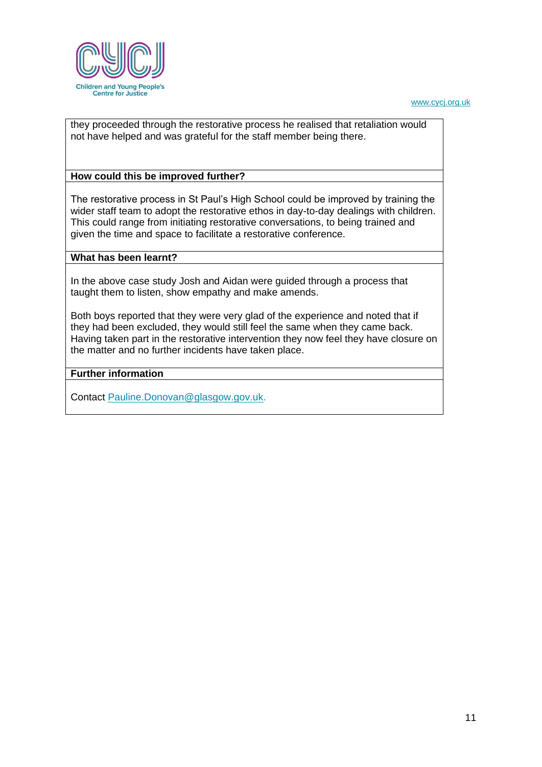

they proceeded through the restorative process he realised that retaliation would not have helped and was grateful for the staff member being there.

### **How could this be improved further?**

The restorative process in St Paul's High School could be improved by training the wider staff team to adopt the restorative ethos in day-to-day dealings with children. This could range from initiating restorative conversations, to being trained and given the time and space to facilitate a restorative conference.

#### **What has been learnt?**

In the above case study Josh and Aidan were guided through a process that taught them to listen, show empathy and make amends.

Both boys reported that they were very glad of the experience and noted that if they had been excluded, they would still feel the same when they came back. Having taken part in the restorative intervention they now feel they have closure on the matter and no further incidents have taken place.

### **Further information**

Contact [Pauline.Donovan@glasgow.gov.uk.](mailto:Pauline.Donovan@glasgow.gov.uk)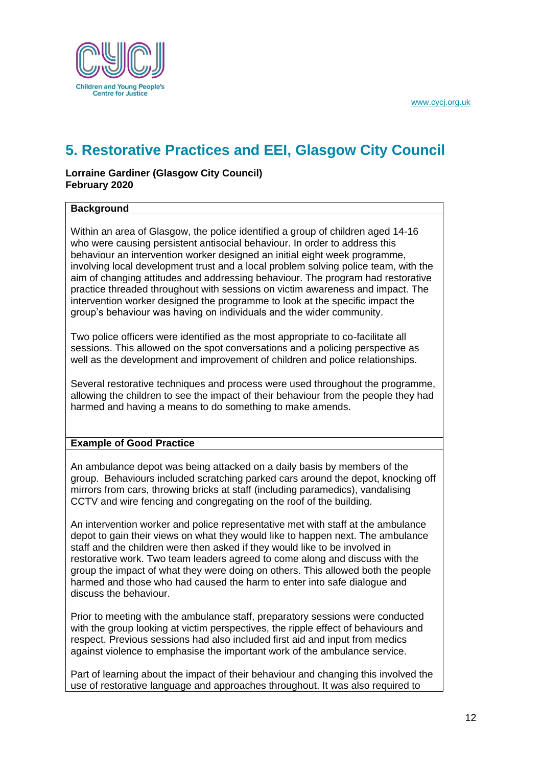

## <span id="page-12-0"></span>**5. Restorative Practices and EEI, Glasgow City Council**

## **Lorraine Gardiner (Glasgow City Council) February 2020**

### **Background**

Within an area of Glasgow, the police identified a group of children aged 14-16 who were causing persistent antisocial behaviour. In order to address this behaviour an intervention worker designed an initial eight week programme, involving local development trust and a local problem solving police team, with the aim of changing attitudes and addressing behaviour. The program had restorative practice threaded throughout with sessions on victim awareness and impact. The intervention worker designed the programme to look at the specific impact the group's behaviour was having on individuals and the wider community.

Two police officers were identified as the most appropriate to co-facilitate all sessions. This allowed on the spot conversations and a policing perspective as well as the development and improvement of children and police relationships.

Several restorative techniques and process were used throughout the programme, allowing the children to see the impact of their behaviour from the people they had harmed and having a means to do something to make amends.

### **Example of Good Practice**

An ambulance depot was being attacked on a daily basis by members of the group. Behaviours included scratching parked cars around the depot, knocking off mirrors from cars, throwing bricks at staff (including paramedics), vandalising CCTV and wire fencing and congregating on the roof of the building.

An intervention worker and police representative met with staff at the ambulance depot to gain their views on what they would like to happen next. The ambulance staff and the children were then asked if they would like to be involved in restorative work. Two team leaders agreed to come along and discuss with the group the impact of what they were doing on others. This allowed both the people harmed and those who had caused the harm to enter into safe dialogue and discuss the behaviour.

Prior to meeting with the ambulance staff, preparatory sessions were conducted with the group looking at victim perspectives, the ripple effect of behaviours and respect. Previous sessions had also included first aid and input from medics against violence to emphasise the important work of the ambulance service.

Part of learning about the impact of their behaviour and changing this involved the use of restorative language and approaches throughout. It was also required to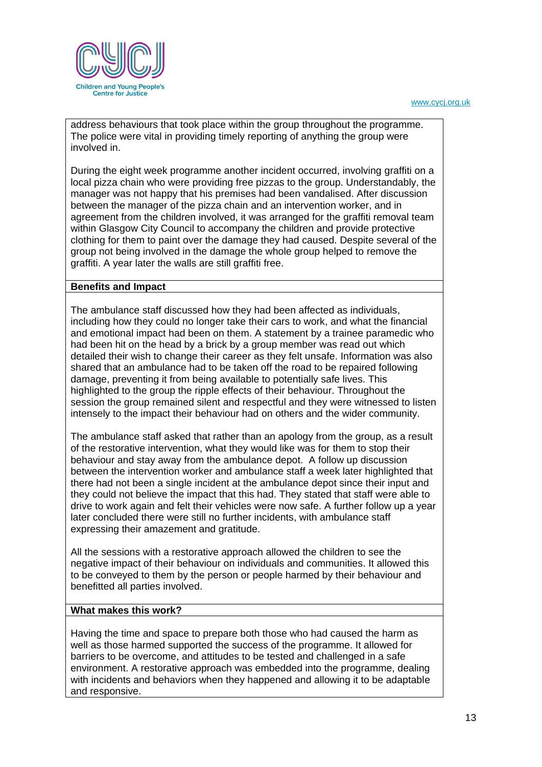

address behaviours that took place within the group throughout the programme. The police were vital in providing timely reporting of anything the group were involved in.

During the eight week programme another incident occurred, involving graffiti on a local pizza chain who were providing free pizzas to the group. Understandably, the manager was not happy that his premises had been vandalised. After discussion between the manager of the pizza chain and an intervention worker, and in agreement from the children involved, it was arranged for the graffiti removal team within Glasgow City Council to accompany the children and provide protective clothing for them to paint over the damage they had caused. Despite several of the group not being involved in the damage the whole group helped to remove the graffiti. A year later the walls are still graffiti free.

### **Benefits and Impact**

The ambulance staff discussed how they had been affected as individuals, including how they could no longer take their cars to work, and what the financial and emotional impact had been on them. A statement by a trainee paramedic who had been hit on the head by a brick by a group member was read out which detailed their wish to change their career as they felt unsafe. Information was also shared that an ambulance had to be taken off the road to be repaired following damage, preventing it from being available to potentially safe lives. This highlighted to the group the ripple effects of their behaviour. Throughout the session the group remained silent and respectful and they were witnessed to listen intensely to the impact their behaviour had on others and the wider community.

The ambulance staff asked that rather than an apology from the group, as a result of the restorative intervention, what they would like was for them to stop their behaviour and stay away from the ambulance depot. A follow up discussion between the intervention worker and ambulance staff a week later highlighted that there had not been a single incident at the ambulance depot since their input and they could not believe the impact that this had. They stated that staff were able to drive to work again and felt their vehicles were now safe. A further follow up a year later concluded there were still no further incidents, with ambulance staff expressing their amazement and gratitude.

All the sessions with a restorative approach allowed the children to see the negative impact of their behaviour on individuals and communities. It allowed this to be conveyed to them by the person or people harmed by their behaviour and benefitted all parties involved.

#### **What makes this work?**

Having the time and space to prepare both those who had caused the harm as well as those harmed supported the success of the programme. It allowed for barriers to be overcome, and attitudes to be tested and challenged in a safe environment. A restorative approach was embedded into the programme, dealing with incidents and behaviors when they happened and allowing it to be adaptable and responsive.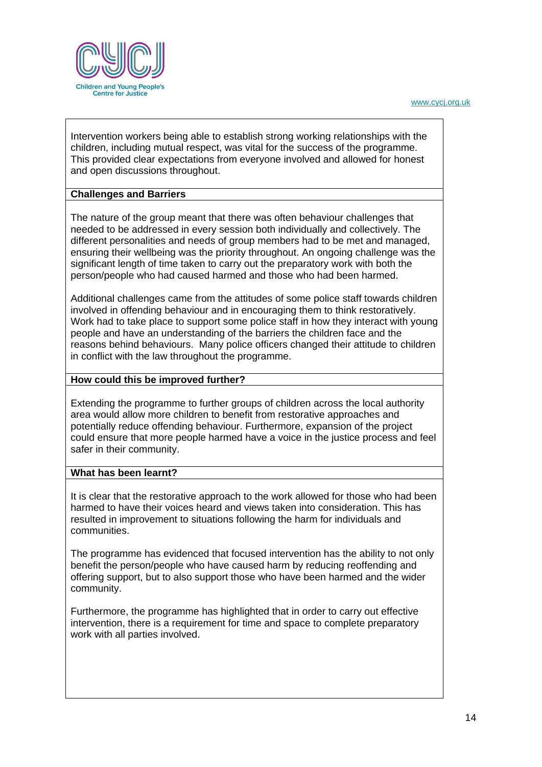

Intervention workers being able to establish strong working relationships with the children, including mutual respect, was vital for the success of the programme. This provided clear expectations from everyone involved and allowed for honest and open discussions throughout.

## **Challenges and Barriers**

The nature of the group meant that there was often behaviour challenges that needed to be addressed in every session both individually and collectively. The different personalities and needs of group members had to be met and managed, ensuring their wellbeing was the priority throughout. An ongoing challenge was the significant length of time taken to carry out the preparatory work with both the person/people who had caused harmed and those who had been harmed.

Additional challenges came from the attitudes of some police staff towards children involved in offending behaviour and in encouraging them to think restoratively. Work had to take place to support some police staff in how they interact with young people and have an understanding of the barriers the children face and the reasons behind behaviours. Many police officers changed their attitude to children in conflict with the law throughout the programme.

## **How could this be improved further?**

Extending the programme to further groups of children across the local authority area would allow more children to benefit from restorative approaches and potentially reduce offending behaviour. Furthermore, expansion of the project could ensure that more people harmed have a voice in the justice process and feel safer in their community.

### **What has been learnt?**

It is clear that the restorative approach to the work allowed for those who had been harmed to have their voices heard and views taken into consideration. This has resulted in improvement to situations following the harm for individuals and communities.

The programme has evidenced that focused intervention has the ability to not only benefit the person/people who have caused harm by reducing reoffending and offering support, but to also support those who have been harmed and the wider community.

Furthermore, the programme has highlighted that in order to carry out effective intervention, there is a requirement for time and space to complete preparatory work with all parties involved.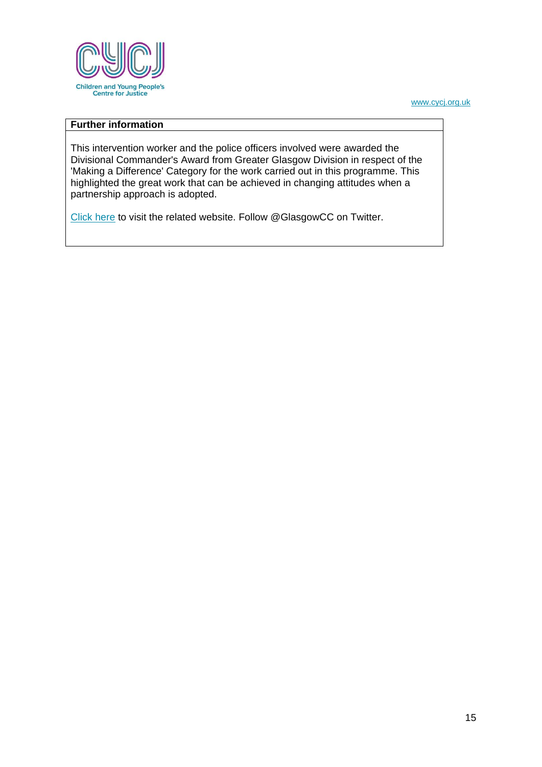

## **Further information**

This intervention worker and the police officers involved were awarded the Divisional Commander's Award from Greater Glasgow Division in respect of the 'Making a Difference' Category for the work carried out in this programme. This highlighted the great work that can be achieved in changing attitudes when a partnership approach is adopted.

[Click here](https://www.glasgow.gov.uk/eei) to visit the related website. Follow @GlasgowCC on Twitter.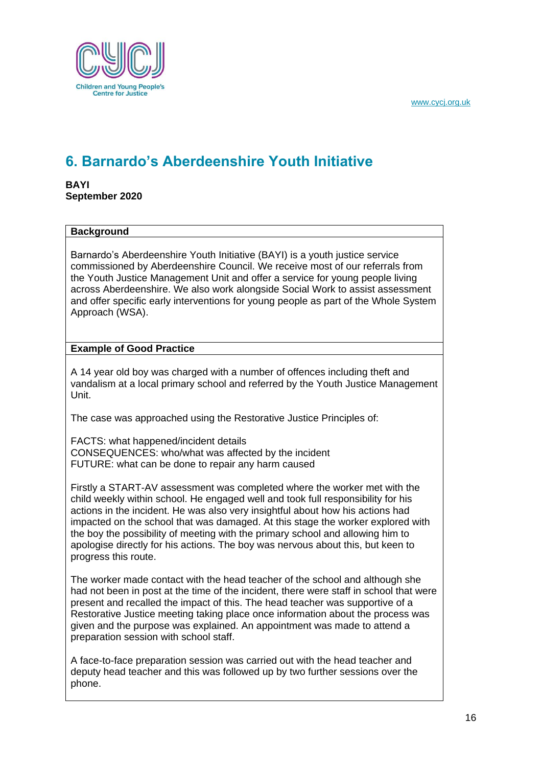

# <span id="page-16-0"></span>**6. Barnardo's Aberdeenshire Youth Initiative**

**BAYI September 2020**

## **Background**

Barnardo's Aberdeenshire Youth Initiative (BAYI) is a youth justice service commissioned by Aberdeenshire Council. We receive most of our referrals from the Youth Justice Management Unit and offer a service for young people living across Aberdeenshire. We also work alongside Social Work to assist assessment and offer specific early interventions for young people as part of the Whole System Approach (WSA).

## **Example of Good Practice**

A 14 year old boy was charged with a number of offences including theft and vandalism at a local primary school and referred by the Youth Justice Management Unit.

The case was approached using the Restorative Justice Principles of:

FACTS: what happened/incident details CONSEQUENCES: who/what was affected by the incident FUTURE: what can be done to repair any harm caused

Firstly a START-AV assessment was completed where the worker met with the child weekly within school. He engaged well and took full responsibility for his actions in the incident. He was also very insightful about how his actions had impacted on the school that was damaged. At this stage the worker explored with the boy the possibility of meeting with the primary school and allowing him to apologise directly for his actions. The boy was nervous about this, but keen to progress this route.

The worker made contact with the head teacher of the school and although she had not been in post at the time of the incident, there were staff in school that were present and recalled the impact of this. The head teacher was supportive of a Restorative Justice meeting taking place once information about the process was given and the purpose was explained. An appointment was made to attend a preparation session with school staff.

A face-to-face preparation session was carried out with the head teacher and deputy head teacher and this was followed up by two further sessions over the phone.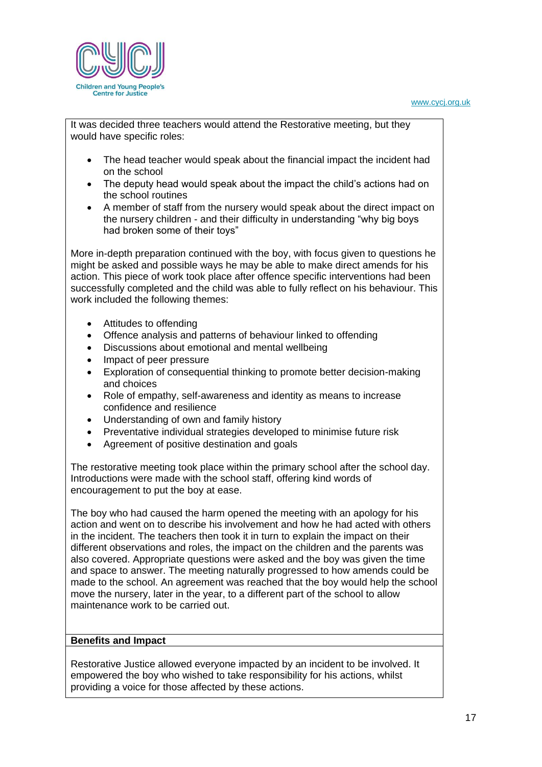

It was decided three teachers would attend the Restorative meeting, but they would have specific roles:

- The head teacher would speak about the financial impact the incident had on the school
- The deputy head would speak about the impact the child's actions had on the school routines
- A member of staff from the nursery would speak about the direct impact on the nursery children - and their difficulty in understanding "why big boys had broken some of their toys"

More in-depth preparation continued with the boy, with focus given to questions he might be asked and possible ways he may be able to make direct amends for his action. This piece of work took place after offence specific interventions had been successfully completed and the child was able to fully reflect on his behaviour. This work included the following themes:

- Attitudes to offending
- Offence analysis and patterns of behaviour linked to offending
- Discussions about emotional and mental wellbeing
- Impact of peer pressure
- Exploration of consequential thinking to promote better decision-making and choices
- Role of empathy, self-awareness and identity as means to increase confidence and resilience
- Understanding of own and family history
- Preventative individual strategies developed to minimise future risk
- Agreement of positive destination and goals

The restorative meeting took place within the primary school after the school day. Introductions were made with the school staff, offering kind words of encouragement to put the boy at ease.

The boy who had caused the harm opened the meeting with an apology for his action and went on to describe his involvement and how he had acted with others in the incident. The teachers then took it in turn to explain the impact on their different observations and roles, the impact on the children and the parents was also covered. Appropriate questions were asked and the boy was given the time and space to answer. The meeting naturally progressed to how amends could be made to the school. An agreement was reached that the boy would help the school move the nursery, later in the year, to a different part of the school to allow maintenance work to be carried out.

### **Benefits and Impact**

Restorative Justice allowed everyone impacted by an incident to be involved. It empowered the boy who wished to take responsibility for his actions, whilst providing a voice for those affected by these actions.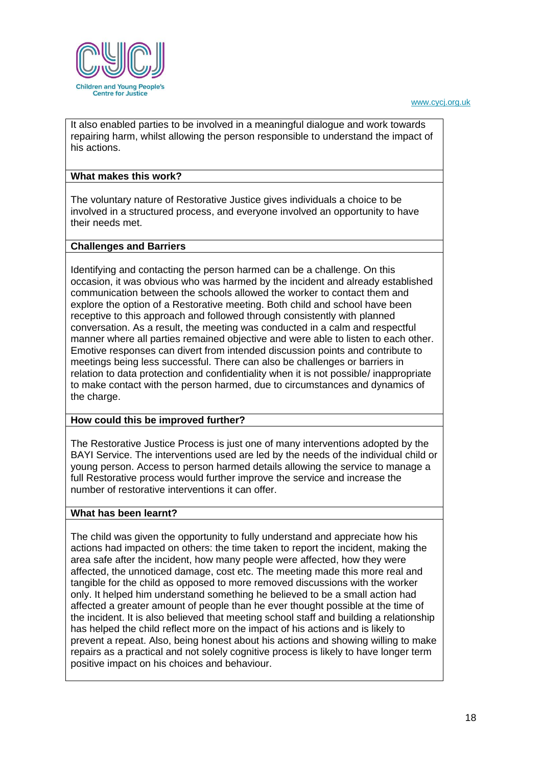It also enabled parties to be involved in a meaningful dialogue and work towards repairing harm, whilst allowing the person responsible to understand the impact of his actions.

## **What makes this work?**

The voluntary nature of Restorative Justice gives individuals a choice to be involved in a structured process, and everyone involved an opportunity to have their needs met.

## **Challenges and Barriers**

Identifying and contacting the person harmed can be a challenge. On this occasion, it was obvious who was harmed by the incident and already established communication between the schools allowed the worker to contact them and explore the option of a Restorative meeting. Both child and school have been receptive to this approach and followed through consistently with planned conversation. As a result, the meeting was conducted in a calm and respectful manner where all parties remained objective and were able to listen to each other. Emotive responses can divert from intended discussion points and contribute to meetings being less successful. There can also be challenges or barriers in relation to data protection and confidentiality when it is not possible/ inappropriate to make contact with the person harmed, due to circumstances and dynamics of the charge.

### **How could this be improved further?**

The Restorative Justice Process is just one of many interventions adopted by the BAYI Service. The interventions used are led by the needs of the individual child or young person. Access to person harmed details allowing the service to manage a full Restorative process would further improve the service and increase the number of restorative interventions it can offer.

### **What has been learnt?**

The child was given the opportunity to fully understand and appreciate how his actions had impacted on others: the time taken to report the incident, making the area safe after the incident, how many people were affected, how they were affected, the unnoticed damage, cost etc. The meeting made this more real and tangible for the child as opposed to more removed discussions with the worker only. It helped him understand something he believed to be a small action had affected a greater amount of people than he ever thought possible at the time of the incident. It is also believed that meeting school staff and building a relationship has helped the child reflect more on the impact of his actions and is likely to prevent a repeat. Also, being honest about his actions and showing willing to make repairs as a practical and not solely cognitive process is likely to have longer term positive impact on his choices and behaviour.